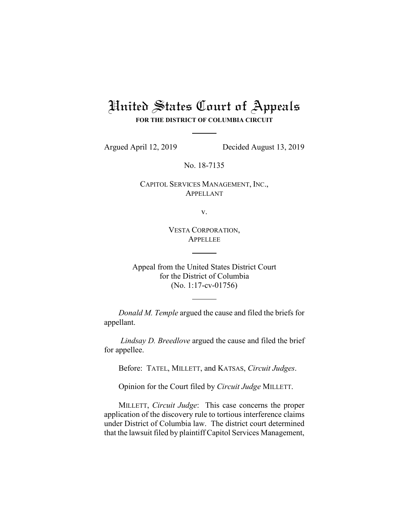# United States Court of Appeals **FOR THE DISTRICT OF COLUMBIA CIRCUIT**

Argued April 12, 2019 Decided August 13, 2019

No. 18-7135

CAPITOL SERVICES MANAGEMENT, INC., APPELLANT

v.

VESTA CORPORATION, APPELLEE

Appeal from the United States District Court for the District of Columbia (No. 1:17-cv-01756)

*Donald M. Temple* argued the cause and filed the briefs for appellant.

*Lindsay D. Breedlove* argued the cause and filed the brief for appellee.

Before: TATEL, MILLETT, and KATSAS, *Circuit Judges*.

Opinion for the Court filed by *Circuit Judge* MILLETT.

MILLETT, *Circuit Judge*: This case concerns the proper application of the discovery rule to tortious interference claims under District of Columbia law. The district court determined that the lawsuit filed by plaintiff Capitol Services Management,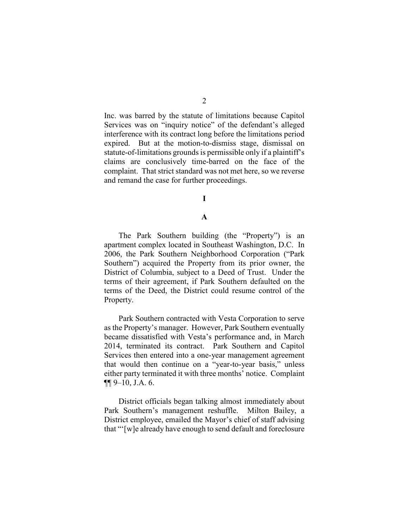Inc. was barred by the statute of limitations because Capitol Services was on "inquiry notice" of the defendant's alleged interference with its contract long before the limitations period expired. But at the motion-to-dismiss stage, dismissal on statute-of-limitations grounds is permissible only if a plaintiff's claims are conclusively time-barred on the face of the complaint. That strict standard was not met here, so we reverse and remand the case for further proceedings.

## **I**

#### **A**

The Park Southern building (the "Property") is an apartment complex located in Southeast Washington, D.C. In 2006, the Park Southern Neighborhood Corporation ("Park Southern") acquired the Property from its prior owner, the District of Columbia, subject to a Deed of Trust. Under the terms of their agreement, if Park Southern defaulted on the terms of the Deed, the District could resume control of the Property.

Park Southern contracted with Vesta Corporation to serve as the Property's manager. However, Park Southern eventually became dissatisfied with Vesta's performance and, in March 2014, terminated its contract.Park Southern and Capitol Services then entered into a one-year management agreement that would then continue on a "year-to-year basis," unless either party terminated it with three months' notice. Complaint ¶¶ 9–10, J.A. 6.

District officials began talking almost immediately about Park Southern's management reshuffle. Milton Bailey, a District employee, emailed the Mayor's chief of staff advising that "'[w]e already have enough to send default and foreclosure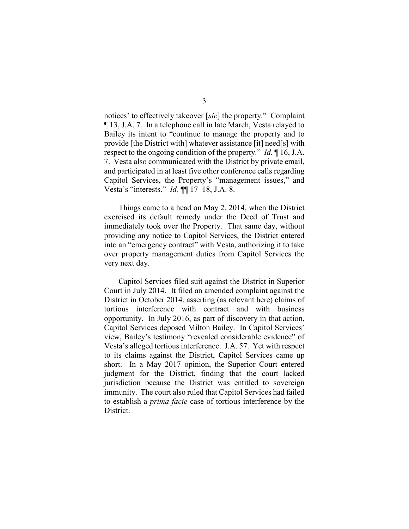notices' to effectively takeover [*sic*] the property." Complaint ¶ 13, J.A. 7. In a telephone call in late March, Vesta relayed to Bailey its intent to "continue to manage the property and to provide [the District with] whatever assistance [it] need[s] with respect to the ongoing condition of the property." *Id.* ¶ 16, J.A. 7. Vesta also communicated with the District by private email, and participated in at least five other conference calls regarding Capitol Services, the Property's "management issues," and Vesta's "interests." *Id.* ¶¶ 17–18, J.A. 8.

Things came to a head on May 2, 2014, when the District exercised its default remedy under the Deed of Trust and immediately took over the Property. That same day, without providing any notice to Capitol Services, the District entered into an "emergency contract" with Vesta, authorizing it to take over property management duties from Capitol Services the very next day.

Capitol Services filed suit against the District in Superior Court in July 2014. It filed an amended complaint against the District in October 2014, asserting (as relevant here) claims of tortious interference with contract and with business opportunity. In July 2016, as part of discovery in that action, Capitol Services deposed Milton Bailey. In Capitol Services' view, Bailey's testimony "revealed considerable evidence" of Vesta's alleged tortious interference. J.A. 57. Yet with respect to its claims against the District, Capitol Services came up short. In a May 2017 opinion, the Superior Court entered judgment for the District, finding that the court lacked jurisdiction because the District was entitled to sovereign immunity. The court also ruled that Capitol Services had failed to establish a *prima facie* case of tortious interference by the District.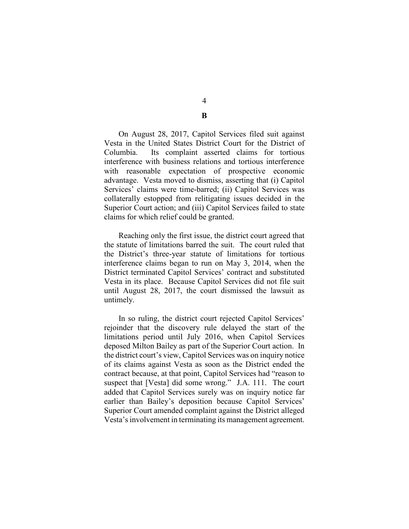4 **B**

On August 28, 2017, Capitol Services filed suit against Vesta in the United States District Court for the District of Columbia. Its complaint asserted claims for tortious interference with business relations and tortious interference with reasonable expectation of prospective economic advantage.Vesta moved to dismiss, asserting that (i) Capitol Services' claims were time-barred; (ii) Capitol Services was collaterally estopped from relitigating issues decided in the Superior Court action; and (iii) Capitol Services failed to state claims for which relief could be granted.

Reaching only the first issue, the district court agreed that the statute of limitations barred the suit. The court ruled that the District's three-year statute of limitations for tortious interference claims began to run on May 3, 2014, when the District terminated Capitol Services' contract and substituted Vesta in its place. Because Capitol Services did not file suit until August 28, 2017, the court dismissed the lawsuit as untimely.

In so ruling, the district court rejected Capitol Services' rejoinder that the discovery rule delayed the start of the limitations period until July 2016, when Capitol Services deposed Milton Bailey as part of the Superior Court action. In the district court's view, Capitol Services was on inquiry notice of its claims against Vesta as soon as the District ended the contract because, at that point, Capitol Services had "reason to suspect that [Vesta] did some wrong." J.A. 111. The court added that Capitol Services surely was on inquiry notice far earlier than Bailey's deposition because Capitol Services' Superior Court amended complaint against the District alleged Vesta's involvement in terminating its management agreement.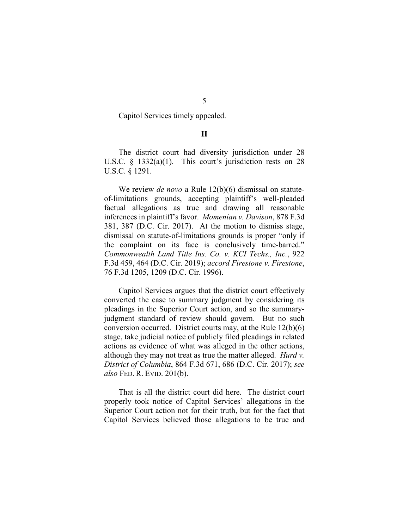Capitol Services timely appealed.

#### **II**

The district court had diversity jurisdiction under 28 U.S.C. § 1332(a)(1). This court's jurisdiction rests on 28 U.S.C. § 1291.

We review *de novo* a Rule 12(b)(6) dismissal on statuteof-limitations grounds, accepting plaintiff's well-pleaded factual allegations as true and drawing all reasonable inferences in plaintiff's favor. *Momenian v. Davison*, 878 F.3d 381, 387 (D.C. Cir. 2017). At the motion to dismiss stage, dismissal on statute-of-limitations grounds is proper "only if the complaint on its face is conclusively time-barred." *Commonwealth Land Title Ins. Co. v. KCI Techs., Inc.*, 922 F.3d 459, 464 (D.C. Cir. 2019); *accord Firestone v. Firestone*, 76 F.3d 1205, 1209 (D.C. Cir. 1996).

Capitol Services argues that the district court effectively converted the case to summary judgment by considering its pleadings in the Superior Court action, and so the summaryjudgment standard of review should govern. But no such conversion occurred. District courts may, at the Rule 12(b)(6) stage, take judicial notice of publicly filed pleadings in related actions as evidence of what was alleged in the other actions, although they may not treat as true the matter alleged. *Hurd v. District of Columbia*, 864 F.3d 671, 686 (D.C. Cir. 2017); *see also* FED. R. EVID. 201(b).

That is all the district court did here. The district court properly took notice of Capitol Services' allegations in the Superior Court action not for their truth, but for the fact that Capitol Services believed those allegations to be true and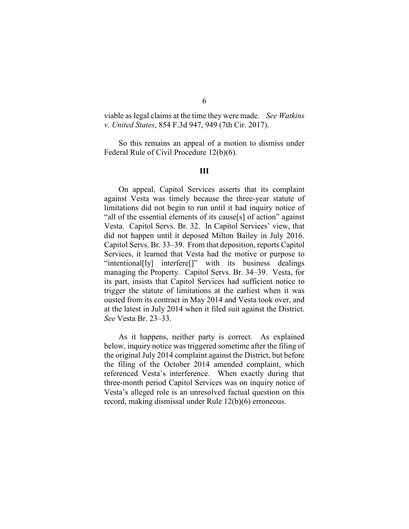viable as legal claims at the time they were made. *See Watkins v. United States*, 854 F.3d 947, 949 (7th Cir. 2017).

So this remains an appeal of a motion to dismiss under Federal Rule of Civil Procedure 12(b)(6).

## **III**

On appeal, Capitol Services asserts that its complaint against Vesta was timely because the three-year statute of limitations did not begin to run until it had inquiry notice of "all of the essential elements of its cause[s] of action" against Vesta. Capitol Servs. Br. 32. In Capitol Services' view, that did not happen until it deposed Milton Bailey in July 2016. Capitol Servs. Br. 33–39. From that deposition, reports Capitol Services, it learned that Vesta had the motive or purpose to "intentional[ly] interfere[]" with its business dealings managing the Property. Capitol Servs. Br. 34–39. Vesta, for its part, insists that Capitol Services had sufficient notice to trigger the statute of limitations at the earliest when it was ousted from its contract in May 2014 and Vesta took over, and at the latest in July 2014 when it filed suit against the District. *See* Vesta Br. 23–33.

As it happens, neither party is correct. As explained below, inquiry notice was triggered sometime after the filing of the original July 2014 complaint against the District, but before the filing of the October 2014 amended complaint, which referenced Vesta's interference. When exactly during that three-month period Capitol Services was on inquiry notice of Vesta's alleged role is an unresolved factual question on this record, making dismissal under Rule 12(b)(6) erroneous.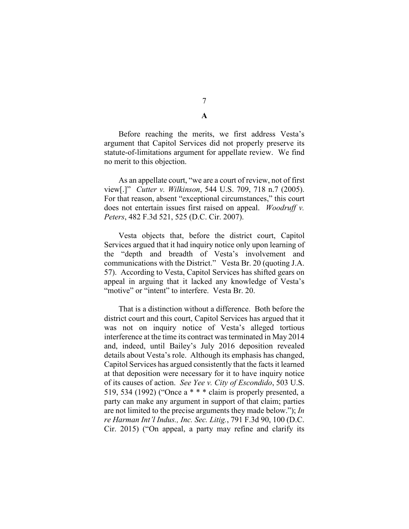7 **A**

Before reaching the merits, we first address Vesta's argument that Capitol Services did not properly preserve its statute-of-limitations argument for appellate review. We find no merit to this objection.

As an appellate court, "we are a court of review, not of first view[.]" *Cutter v. Wilkinson*, 544 U.S. 709, 718 n.7 (2005). For that reason, absent "exceptional circumstances," this court does not entertain issues first raised on appeal. *Woodruff v. Peters*, 482 F.3d 521, 525 (D.C. Cir. 2007).

Vesta objects that, before the district court, Capitol Services argued that it had inquiry notice only upon learning of the "depth and breadth of Vesta's involvement and communications with the District." Vesta Br. 20 (quoting J.A. 57). According to Vesta, Capitol Services has shifted gears on appeal in arguing that it lacked any knowledge of Vesta's "motive" or "intent" to interfere. Vesta Br. 20.

That is a distinction without a difference. Both before the district court and this court, Capitol Services has argued that it was not on inquiry notice of Vesta's alleged tortious interference at the time its contract was terminated in May 2014 and, indeed, until Bailey's July 2016 deposition revealed details about Vesta's role. Although its emphasis has changed, Capitol Services has argued consistently that the facts it learned at that deposition were necessary for it to have inquiry notice of its causes of action. *See Yee v. City of Escondido*, 503 U.S. 519, 534 (1992) ("Once a \* \* \* claim is properly presented, a party can make any argument in support of that claim; parties are not limited to the precise arguments they made below."); *In re Harman Int'l Indus., Inc. Sec. Litig.*, 791 F.3d 90, 100 (D.C. Cir. 2015) ("On appeal, a party may refine and clarify its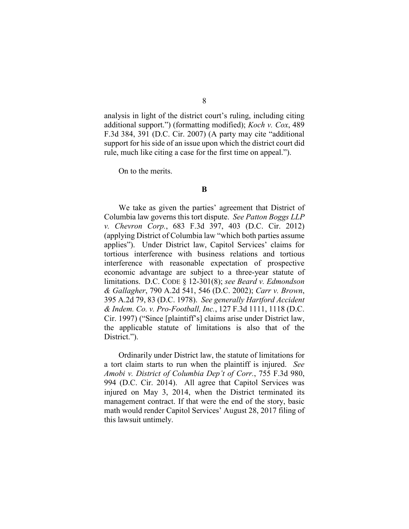analysis in light of the district court's ruling, including citing additional support.") (formatting modified); *Koch v. Cox*, 489 F.3d 384, 391 (D.C. Cir. 2007) (A party may cite "additional support for his side of an issue upon which the district court did rule, much like citing a case for the first time on appeal.").

On to the merits.

#### **B**

We take as given the parties' agreement that District of Columbia law governs this tort dispute. *See Patton Boggs LLP v. Chevron Corp.*, 683 F.3d 397, 403 (D.C. Cir. 2012) (applying District of Columbia law "which both parties assume applies"). Under District law, Capitol Services' claims for tortious interference with business relations and tortious interference with reasonable expectation of prospective economic advantage are subject to a three-year statute of limitations. D.C. CODE § 12-301(8); *see Beard v. Edmondson & Gallagher*, 790 A.2d 541, 546 (D.C. 2002); *Carr v. Brown*, 395 A.2d 79, 83 (D.C. 1978). *See generally Hartford Accident & Indem. Co. v. Pro-Football, Inc.*, 127 F.3d 1111, 1118 (D.C. Cir. 1997) ("Since [plaintiff's] claims arise under District law, the applicable statute of limitations is also that of the District.").

Ordinarily under District law, the statute of limitations for a tort claim starts to run when the plaintiff is injured. *See Amobi v. District of Columbia Dep't of Corr.*, 755 F.3d 980, 994 (D.C. Cir. 2014). All agree that Capitol Services was injured on May 3, 2014, when the District terminated its management contract. If that were the end of the story, basic math would render Capitol Services' August 28, 2017 filing of this lawsuit untimely.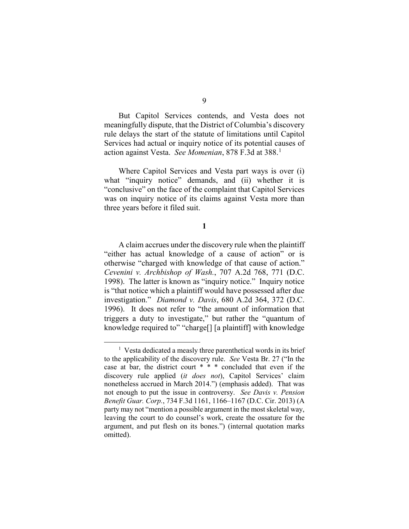But Capitol Services contends, and Vesta does not meaningfully dispute, that the District of Columbia's discovery rule delays the start of the statute of limitations until Capitol Services had actual or inquiry notice of its potential causes of action against Vesta. *See Momenian*, 878 F.3d at 388.[1](#page-8-0)

Where Capitol Services and Vesta part ways is over (i) what "inquiry notice" demands, and (ii) whether it is "conclusive" on the face of the complaint that Capitol Services was on inquiry notice of its claims against Vesta more than three years before it filed suit.

**1**

A claim accrues under the discovery rule when the plaintiff "either has actual knowledge of a cause of action" or is otherwise "charged with knowledge of that cause of action." *Cevenini v. Archbishop of Wash.*, 707 A.2d 768, 771 (D.C. 1998). The latter is known as "inquiry notice." Inquiry notice is "that notice which a plaintiff would have possessed after due investigation." *Diamond v. Davis*, 680 A.2d 364, 372 (D.C. 1996). It does not refer to "the amount of information that triggers a duty to investigate," but rather the "quantum of knowledge required to" "charge[] [a plaintiff] with knowledge

<span id="page-8-0"></span> $\overline{\phantom{a}}$ <sup>1</sup> Vesta dedicated a measly three parenthetical words in its brief to the applicability of the discovery rule. *See* Vesta Br. 27 ("In the case at bar, the district court \* \* \* concluded that even if the discovery rule applied (*it does not*), Capitol Services' claim nonetheless accrued in March 2014.") (emphasis added). That was not enough to put the issue in controversy. *See Davis v. Pension Benefit Guar. Corp.*, 734 F.3d 1161, 1166–1167 (D.C. Cir. 2013) (A party may not "mention a possible argument in the most skeletal way, leaving the court to do counsel's work, create the ossature for the argument, and put flesh on its bones.") (internal quotation marks omitted).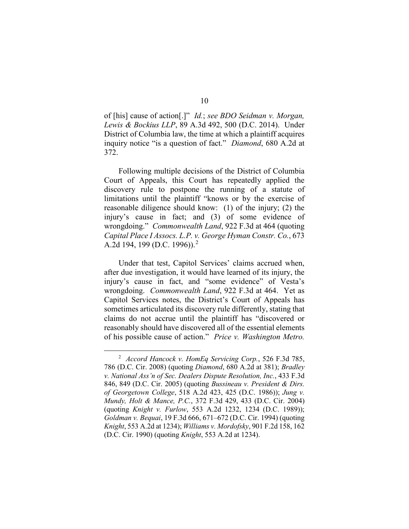of [his] cause of action[.]" *Id.*; *see BDO Seidman v. Morgan, Lewis & Bockius LLP*, 89 A.3d 492, 500 (D.C. 2014). Under District of Columbia law, the time at which a plaintiff acquires inquiry notice "is a question of fact." *Diamond*, 680 A.2d at 372.

Following multiple decisions of the District of Columbia Court of Appeals, this Court has repeatedly applied the discovery rule to postpone the running of a statute of limitations until the plaintiff "knows or by the exercise of reasonable diligence should know: (1) of the injury; (2) the injury's cause in fact; and (3) of some evidence of wrongdoing." *Commonwealth Land*, 922 F.3d at 464 (quoting *Capital Place I Assocs. L.P. v. George Hyman Constr. Co.*, 673 A.2d 194, 199 (D.C. 1996)). [2](#page-9-0)

Under that test, Capitol Services' claims accrued when, after due investigation, it would have learned of its injury, the injury's cause in fact, and "some evidence" of Vesta's wrongdoing. *Commonwealth Land*, 922 F.3d at 464. Yet as Capitol Services notes, the District's Court of Appeals has sometimes articulated its discovery rule differently, stating that claims do not accrue until the plaintiff has "discovered or reasonably should have discovered all of the essential elements of his possible cause of action." *Price v. Washington Metro.* 

<span id="page-9-0"></span> <sup>2</sup> *Accord Hancock v. HomEq Servicing Corp.*, 526 F.3d 785, 786 (D.C. Cir. 2008) (quoting *Diamond*, 680 A.2d at 381); *Bradley v. National Ass'n of Sec. Dealers Dispute Resolution, Inc.*, 433 F.3d 846, 849 (D.C. Cir. 2005) (quoting *Bussineau v. President & Dirs. of Georgetown College*, 518 A.2d 423, 425 (D.C. 1986)); *Jung v. Mundy, Holt & Mance, P.C.*, 372 F.3d 429, 433 (D.C. Cir. 2004) (quoting *Knight v. Furlow*, 553 A.2d 1232, 1234 (D.C. 1989)); *Goldman v. Bequai*, 19 F.3d 666, 671–672 (D.C. Cir. 1994) (quoting *Knight*, 553 A.2d at 1234); *Williams v. Mordofsky*, 901 F.2d 158, 162 (D.C. Cir. 1990) (quoting *Knight*, 553 A.2d at 1234).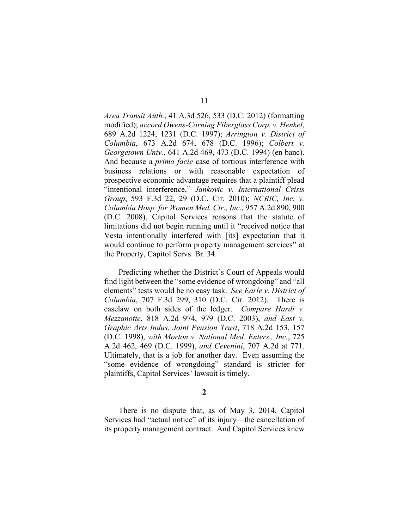*Area Transit Auth.*, 41 A.3d 526, 533 (D.C. 2012) (formatting modified); *accord Owens-Corning Fiberglass Corp. v. Henkel*, 689 A.2d 1224, 1231 (D.C. 1997); *Arrington v. District of Columbia*, 673 A.2d 674, 678 (D.C. 1996); *Colbert v. Georgetown Univ.*, 641 A.2d 469, 473 (D.C. 1994) (en banc). And because a *prima facie* case of tortious interference with business relations or with reasonable expectation of prospective economic advantage requires that a plaintiff plead "intentional interference," *Jankovic v. International Crisis Group*, 593 F.3d 22, 29 (D.C. Cir. 2010); *NCRIC, Inc. v. Columbia Hosp. for Women Med. Ctr., Inc.*, 957 A.2d 890, 900 (D.C. 2008), Capitol Services reasons that the statute of limitations did not begin running until it "received notice that Vesta intentionally interfered with [its] expectation that it would continue to perform property management services" at the Property, Capitol Servs. Br. 34.

Predicting whether the District's Court of Appeals would find light between the "some evidence of wrongdoing" and "all elements" tests would be no easy task. *See Earle v. District of Columbia*, 707 F.3d 299, 310 (D.C. Cir. 2012). There is caselaw on both sides of the ledger. *Compare Hardi v. Mezzanotte*, 818 A.2d 974, 979 (D.C. 2003), *and East v. Graphic Arts Indus. Joint Pension Trust*, 718 A.2d 153, 157 (D.C. 1998), *with Morton v. National Med. Enters., Inc.*, 725 A.2d 462, 469 (D.C. 1999), *and Cevenini*, 707 A.2d at 771. Ultimately, that is a job for another day. Even assuming the "some evidence of wrongdoing" standard is stricter for plaintiffs, Capitol Services' lawsuit is timely.

**2**

There is no dispute that, as of May 3, 2014, Capitol Services had "actual notice" of its injury—the cancellation of its property management contract. And Capitol Services knew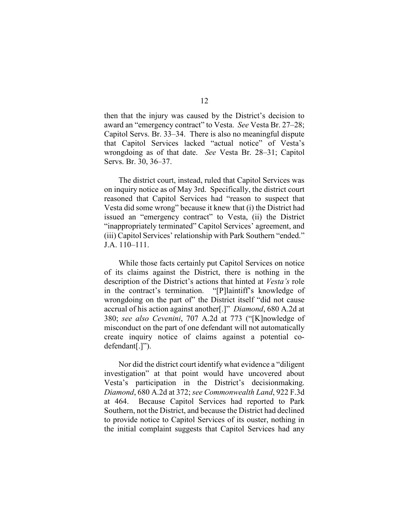then that the injury was caused by the District's decision to award an "emergency contract" to Vesta. *See* Vesta Br. 27–28; Capitol Servs. Br. 33–34. There is also no meaningful dispute that Capitol Services lacked "actual notice" of Vesta's wrongdoing as of that date. *See* Vesta Br. 28–31; Capitol Servs. Br. 30, 36–37.

The district court, instead, ruled that Capitol Services was on inquiry notice as of May 3rd. Specifically, the district court reasoned that Capitol Services had "reason to suspect that Vesta did some wrong" because it knew that (i) the District had issued an "emergency contract" to Vesta, (ii) the District "inappropriately terminated" Capitol Services' agreement, and (iii) Capitol Services' relationship with Park Southern "ended." J.A. 110–111.

While those facts certainly put Capitol Services on notice of its claims against the District, there is nothing in the description of the District's actions that hinted at *Vesta's* role in the contract's termination. "[P]laintiff's knowledge of wrongdoing on the part of" the District itself "did not cause accrual of his action against another[.]" *Diamond*, 680 A.2d at 380; *see also Cevenini*, 707 A.2d at 773 ("[K]nowledge of misconduct on the part of one defendant will not automatically create inquiry notice of claims against a potential codefendant[.]").

Nor did the district court identify what evidence a "diligent investigation" at that point would have uncovered about Vesta's participation in the District's decisionmaking. *Diamond*, 680 A.2d at 372; *see Commonwealth Land*, 922 F.3d at 464. Because Capitol Services had reported to Park Southern, not the District, and because the District had declined to provide notice to Capitol Services of its ouster, nothing in the initial complaint suggests that Capitol Services had any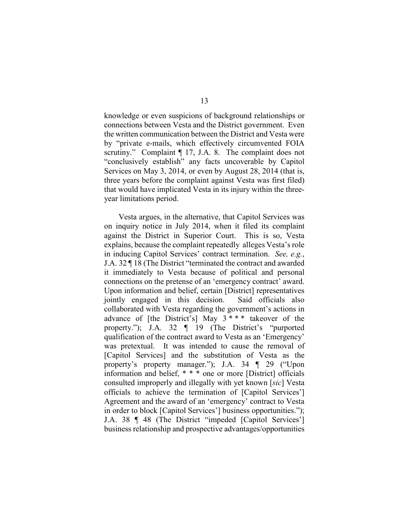knowledge or even suspicions of background relationships or connections between Vesta and the District government. Even the written communication between the District and Vesta were by "private e-mails, which effectively circumvented FOIA scrutiny." Complaint  $\P$  17, J.A. 8. The complaint does not "conclusively establish" any facts uncoverable by Capitol Services on May 3, 2014, or even by August 28, 2014 (that is, three years before the complaint against Vesta was first filed) that would have implicated Vesta in its injury within the threeyear limitations period.

Vesta argues, in the alternative, that Capitol Services was on inquiry notice in July 2014, when it filed its complaint against the District in Superior Court.This is so, Vesta explains, because the complaint repeatedly alleges Vesta's role in inducing Capitol Services' contract termination. *See, e.g.*, J.A. 32 ¶ 18 (The District "terminated the contract and awarded it immediately to Vesta because of political and personal connections on the pretense of an 'emergency contract' award. Upon information and belief, certain [District] representatives jointly engaged in this decision. Said officials also collaborated with Vesta regarding the government's actions in advance of [the District's] May  $3$ \*\*\* takeover of the property."); J.A. 32 ¶ 19 (The District's "purported qualification of the contract award to Vesta as an 'Emergency' was pretextual. It was intended to cause the removal of [Capitol Services] and the substitution of Vesta as the property's property manager."); J.A. 34 ¶ 29 ("Upon information and belief, \* \* \* one or more [District] officials consulted improperly and illegally with yet known [*sic*] Vesta officials to achieve the termination of [Capitol Services'] Agreement and the award of an 'emergency' contract to Vesta in order to block [Capitol Services'] business opportunities."); J.A. 38 ¶ 48 (The District "impeded [Capitol Services'] business relationship and prospective advantages/opportunities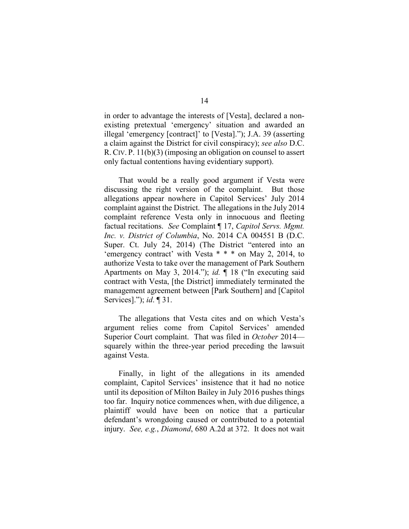in order to advantage the interests of [Vesta], declared a nonexisting pretextual 'emergency' situation and awarded an illegal 'emergency [contract]' to [Vesta]."); J.A. 39 (asserting a claim against the District for civil conspiracy); *see also* D.C. R. CIV. P. 11(b)(3) (imposing an obligation on counsel to assert only factual contentions having evidentiary support).

That would be a really good argument if Vesta were discussing the right version of the complaint. But those allegations appear nowhere in Capitol Services' July 2014 complaint against the District. The allegations in the July 2014 complaint reference Vesta only in innocuous and fleeting factual recitations. *See* Complaint ¶ 17, *Capitol Servs. Mgmt. Inc. v. District of Columbia*, No. 2014 CA 004551 B (D.C. Super. Ct. July 24, 2014) (The District "entered into an 'emergency contract' with Vesta \* \* \* on May 2, 2014, to authorize Vesta to take over the management of Park Southern Apartments on May 3, 2014."); *id.* ¶ 18 ("In executing said contract with Vesta, [the District] immediately terminated the management agreement between [Park Southern] and [Capitol Services]."); *id*. ¶ 31.

The allegations that Vesta cites and on which Vesta's argument relies come from Capitol Services' amended Superior Court complaint. That was filed in *October* 2014 squarely within the three-year period preceding the lawsuit against Vesta.

Finally, in light of the allegations in its amended complaint, Capitol Services' insistence that it had no notice until its deposition of Milton Bailey in July 2016 pushes things too far. Inquiry notice commences when, with due diligence, a plaintiff would have been on notice that a particular defendant's wrongdoing caused or contributed to a potential injury. *See, e.g.*, *Diamond*, 680 A.2d at 372. It does not wait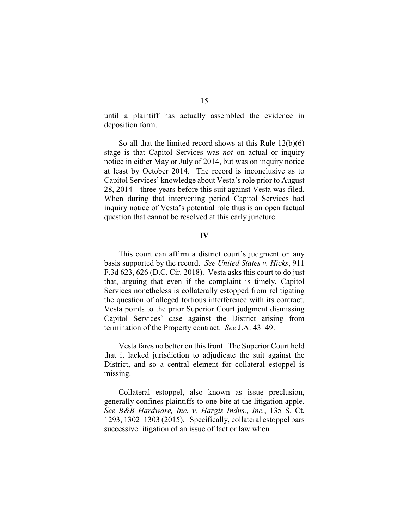until a plaintiff has actually assembled the evidence in deposition form.

So all that the limited record shows at this Rule 12(b)(6) stage is that Capitol Services was *not* on actual or inquiry notice in either May or July of 2014, but was on inquiry notice at least by October 2014. The record is inconclusive as to Capitol Services' knowledge about Vesta's role prior to August 28, 2014—three years before this suit against Vesta was filed. When during that intervening period Capitol Services had inquiry notice of Vesta's potential role thus is an open factual question that cannot be resolved at this early juncture.

#### **IV**

This court can affirm a district court's judgment on any basis supported by the record. *See United States v. Hicks*, 911 F.3d 623, 626 (D.C. Cir. 2018). Vesta asks this court to do just that, arguing that even if the complaint is timely, Capitol Services nonetheless is collaterally estopped from relitigating the question of alleged tortious interference with its contract. Vesta points to the prior Superior Court judgment dismissing Capitol Services' case against the District arising from termination of the Property contract. *See* J.A. 43–49.

Vesta fares no better on this front. The Superior Court held that it lacked jurisdiction to adjudicate the suit against the District, and so a central element for collateral estoppel is missing.

Collateral estoppel, also known as issue preclusion, generally confines plaintiffs to one bite at the litigation apple. *See B&B Hardware, Inc. v. Hargis Indus., Inc.*, 135 S. Ct. 1293, 1302–1303 (2015). Specifically, collateral estoppel bars successive litigation of an issue of fact or law when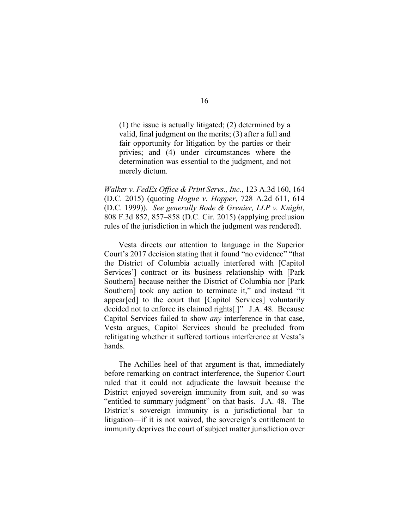(1) the issue is actually litigated; (2) determined by a valid, final judgment on the merits; (3) after a full and fair opportunity for litigation by the parties or their privies; and (4) under circumstances where the determination was essential to the judgment, and not merely dictum.

*Walker v. FedEx Office & Print Servs., Inc.*, 123 A.3d 160, 164 (D.C. 2015) (quoting *Hogue v. Hopper*, 728 A.2d 611, 614 (D.C. 1999)). *See generally Bode & Grenier, LLP v. Knight*, 808 F.3d 852, 857–858 (D.C. Cir. 2015) (applying preclusion rules of the jurisdiction in which the judgment was rendered).

Vesta directs our attention to language in the Superior Court's 2017 decision stating that it found "no evidence" "that the District of Columbia actually interfered with [Capitol Services'] contract or its business relationship with [Park Southern] because neither the District of Columbia nor [Park Southern] took any action to terminate it," and instead "it appear[ed] to the court that [Capitol Services] voluntarily decided not to enforce its claimed rights[.]" J.A. 48. Because Capitol Services failed to show *any* interference in that case, Vesta argues, Capitol Services should be precluded from relitigating whether it suffered tortious interference at Vesta's hands.

The Achilles heel of that argument is that, immediately before remarking on contract interference, the Superior Court ruled that it could not adjudicate the lawsuit because the District enjoyed sovereign immunity from suit, and so was "entitled to summary judgment" on that basis. J.A. 48. The District's sovereign immunity is a jurisdictional bar to litigation—if it is not waived, the sovereign's entitlement to immunity deprives the court of subject matter jurisdiction over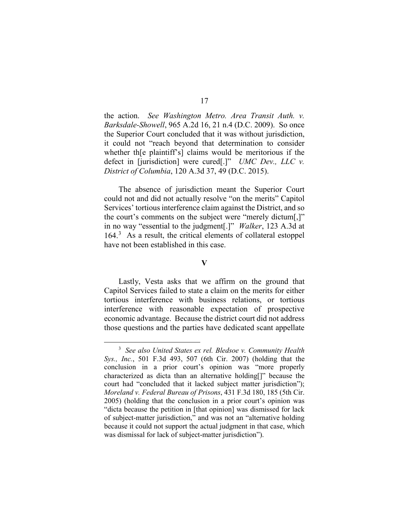the action. *See Washington Metro. Area Transit Auth. v. Barksdale-Showell*, 965 A.2d 16, 21 n.4 (D.C. 2009). So once the Superior Court concluded that it was without jurisdiction, it could not "reach beyond that determination to consider whether th[e plaintiff's] claims would be meritorious if the defect in [jurisdiction] were cured[.]" *UMC Dev., LLC v. District of Columbia*, 120 A.3d 37, 49 (D.C. 2015).

The absence of jurisdiction meant the Superior Court could not and did not actually resolve "on the merits" Capitol Services' tortious interference claim against the District, and so the court's comments on the subject were "merely dictum[,]" in no way "essential to the judgment[.]" *Walker*, 123 A.3d at 164. [3](#page-16-0) As a result, the critical elements of collateral estoppel have not been established in this case.

**V**

Lastly, Vesta asks that we affirm on the ground that Capitol Services failed to state a claim on the merits for either tortious interference with business relations, or tortious interference with reasonable expectation of prospective economic advantage. Because the district court did not address those questions and the parties have dedicated scant appellate

<span id="page-16-0"></span> <sup>3</sup> *See also United States ex rel. Bledsoe v. Community Health Sys., Inc.*, 501 F.3d 493, 507 (6th Cir. 2007) (holding that the conclusion in a prior court's opinion was "more properly characterized as dicta than an alternative holding[]" because the court had "concluded that it lacked subject matter jurisdiction"); *Moreland v. Federal Bureau of Prisons*, 431 F.3d 180, 185 (5th Cir. 2005) (holding that the conclusion in a prior court's opinion was "dicta because the petition in [that opinion] was dismissed for lack of subject-matter jurisdiction," and was not an "alternative holding because it could not support the actual judgment in that case, which was dismissal for lack of subject-matter jurisdiction").